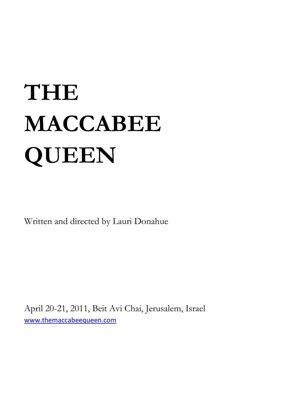# **THE MACCABEE QUEEN**

Written and directed by Lauri Donahue

April 20-21, 2011, Beit Avi Chai, Jerusalem, Israel [www.themaccabeequeen.com](http://www.themaccabeequeen.com/)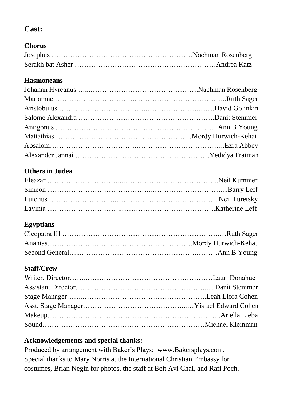# **Cast:**

## **Chorus**

#### **Hasmoneans**

# **Others in Judea**

## **Egyptians**

#### **Staff/Crew**

#### **Acknowledgements and special thanks:**

Produced by arrangement with Baker's Plays; www.Bakersplays.com. Special thanks to Mary Norris at the International Christian Embassy for costumes, Brian Negin for photos, the staff at Beit Avi Chai, and Rafi Poch.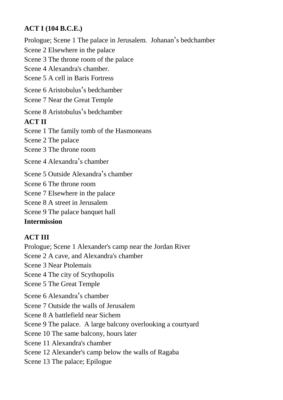#### **ACT I (104 B.C.E.)**

Prologue; Scene 1 The palace in Jerusalem. Johanan's bedchamber Scene 2 Elsewhere in the palace Scene 3 The throne room of the palace Scene 4 Alexandra's chamber. Scene 5 A cell in Baris Fortress Scene 6 Aristobulus's bedchamber Scene 7 Near the Great Temple Scene 8 Aristobulus's bedchamber **ACT II** Scene 1 The family tomb of the Hasmoneans Scene 2 The palace Scene 3 The throne room Scene 4 Alexandra's chamber Scene 5 Outside Alexandra's chamber Scene 6 The throne room Scene 7 Elsewhere in the palace Scene 8 A street in Jerusalem Scene 9 The palace banquet hall

# **Intermission**

## **ACT III**

Prologue; Scene 1 Alexander's camp near the Jordan River Scene 2 A cave, and Alexandra's chamber Scene 3 Near Ptolemais Scene 4 The city of Scythopolis Scene 5 The Great Temple Scene 6 Alexandra's chamber Scene 7 Outside the walls of Jerusalem Scene 8 A battlefield near Sichem Scene 9 The palace. A large balcony overlooking a courtyard Scene 10 The same balcony, hours later Scene 11 Alexandra's chamber Scene 12 Alexander's camp below the walls of Ragaba Scene 13 The palace; Epilogue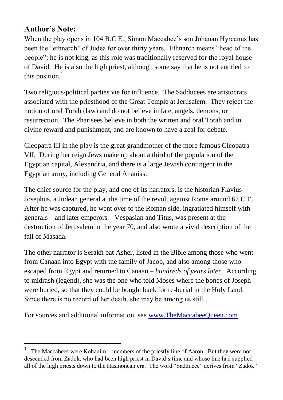# **Author's Note:**

1

When the play opens in 104 B.C.E., Simon Maccabee's son Johanan Hyrcanus has been the "ethnarch" of Judea for over thirty years. Ethnarch means "head of the people"; he is not king, as this role was traditionally reserved for the royal house of David. He is also the high priest, although some say that he is not entitled to this position. $1$ 

Two religious/political parties vie for influence. The Sadducees are aristocrats associated with the priesthood of the Great Temple at Jerusalem. They reject the notion of oral Torah (law) and do not believe in fate, angels, demons, or resurrection. The Pharisees believe in both the written and oral Torah and in divine reward and punishment, and are known to have a zeal for debate.

Cleopatra III in the play is the great-grandmother of the more famous Cleopatra VII. During her reign Jews make up about a third of the population of the Egyptian capital, Alexandria, and there is a large Jewish contingent in the Egyptian army, including General Ananias.

The chief source for the play, and one of its narrators, is the historian Flavius Josephus, a Judean general at the time of the revolt against Rome around 67 C.E. After he was captured, he went over to the Roman side, ingratiated himself with generals – and later emperors – Vespasian and Titus, was present at the destruction of Jerusalem in the year 70, and also wrote a vivid description of the fall of Masada.

The other narrator is Serakh bat Asher, listed in the Bible among those who went from Canaan into Egypt with the family of Jacob, and also among those who escaped from Egypt and returned to Canaan – *hundreds of years later*. According to midrash (legend), she was the one who told Moses where the bones of Joseph were buried, so that they could be bought back for re-burial in the Holy Land. Since there is no record of her death, she may be among us still….

For sources and additional information, se[e www.TheMaccabeeQueen.com](http://www.themaccabeequeen.com/)

<sup>1</sup> The Maccabees were Kohanim – members of the priestly line of Aaron. But they were not descended from Zadok, who had been high priest in David's time and whose line had supplied all of the high priests down to the Hasmonean era. The word "Sadducee" derives from "Zadok."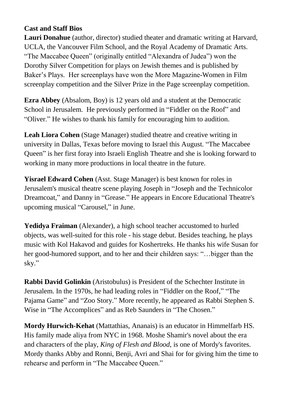#### **Cast and Staff Bios**

**Lauri Donahue** (author, director) studied theater and dramatic writing at Harvard, UCLA, the Vancouver Film School, and the Royal Academy of Dramatic Arts. "The Maccabee Queen" (originally entitled "Alexandra of Judea") won the Dorothy Silver Competition for plays on Jewish themes and is published by Baker's Plays. Her screenplays have won the More Magazine-Women in Film screenplay competition and the Silver Prize in the Page screenplay competition.

**Ezra Abbey** (Absalom, Boy) is 12 years old and a student at the Democratic School in Jerusalem. He previously performed in "Fiddler on the Roof" and "Oliver." He wishes to thank his family for encouraging him to audition.

**Leah Liora Cohen** (Stage Manager) studied theatre and creative writing in university in Dallas, Texas before moving to Israel this August. "The Maccabee Queen" is her first foray into Israeli English Theatre and she is looking forward to working in many more productions in local theatre in the future.

**Yisrael Edward Cohen** (Asst. Stage Manager) is best known for roles in Jerusalem's musical theatre scene playing Joseph in "Joseph and the Technicolor Dreamcoat," and Danny in "Grease." He appears in Encore Educational Theatre's upcoming musical "Carousel," in June.

**Yedidya Fraiman** (Alexander), a high school teacher accustomed to hurled objects, was well-suited for this role - his stage debut. Besides teaching, he plays music with Kol Hakavod and guides for Koshertreks. He thanks his wife Susan for her good-humored support, and to her and their children says: "…bigger than the sky."

**Rabbi David Golinkin** (Aristobulus) is President of the Schechter Institute in Jerusalem. In the 1970s, he had leading roles in "Fiddler on the Roof," "The Pajama Game" and "Zoo Story." More recently, he appeared as Rabbi Stephen S. Wise in "The Accomplices" and as Reb Saunders in "The Chosen."

**Mordy Hurwich-Kehat** (Mattathias, Ananais) is an educator in Himmelfarb HS. His family made aliya from NYC in 1968. Moshe Shamir's novel about the era and characters of the play, *King of Flesh and Blood*, is one of Mordy's favorites. Mordy thanks Abby and Ronni, Benji, Avri and Shai for for giving him the time to rehearse and perform in "The Maccabee Queen."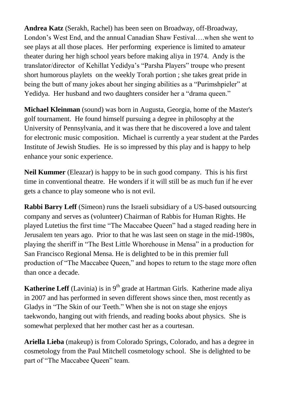**Andrea Katz** (Serakh, Rachel) has been seen on Broadway, off-Broadway, London's West End, and the annual Canadian Shaw Festival….when she went to see plays at all those places. Her performing experience is limited to amateur theater during her high school years before making aliya in 1974. Andy is the translator/director of Kehillat Yedidya's "Parsha Players" troupe who present short humorous playlets on the weekly Torah portion ; she takes great pride in being the butt of many jokes about her singing abilities as a "Purimshpieler" at Yedidya. Her husband and two daughters consider her a "drama queen."

**Michael Kleinman** (sound) was born in Augusta, Georgia, home of the Master's golf tournament. He found himself pursuing a degree in philosophy at the University of Pennsylvania, and it was there that he discovered a love and talent for electronic music composition. Michael is currently a year student at the Pardes Institute of Jewish Studies. He is so impressed by this play and is happy to help enhance your sonic experience.

**Neil Kummer** (Eleazar) is happy to be in such good company. This is his first time in conventional theatre. He wonders if it will still be as much fun if he ever gets a chance to play someone who is not evil.

**Rabbi Barry Leff** (Simeon) runs the Israeli subsidiary of a US-based outsourcing company and serves as (volunteer) Chairman of Rabbis for Human Rights. He played Lutetius the first time "The Maccabee Queen" had a staged reading here in Jerusalem ten years ago. Prior to that he was last seen on stage in the mid-1980s, playing the sheriff in "The Best Little Whorehouse in Mensa" in a production for San Francisco Regional Mensa. He is delighted to be in this premier full production of "The Maccabee Queen," and hopes to return to the stage more often than once a decade.

**Katherine Leff** (Lavinia) is in 9<sup>th</sup> grade at Hartman Girls. Katherine made aliya in 2007 and has performed in seven different shows since then, most recently as Gladys in "The Skin of our Teeth." When she is not on stage she enjoys taekwondo, hanging out with friends, and reading books about physics. She is somewhat perplexed that her mother cast her as a courtesan.

**Ariella Lieba** (makeup) is from Colorado Springs, Colorado, and has a degree in cosmetology from the Paul Mitchell cosmetology school. She is delighted to be part of "The Maccabee Queen" team.